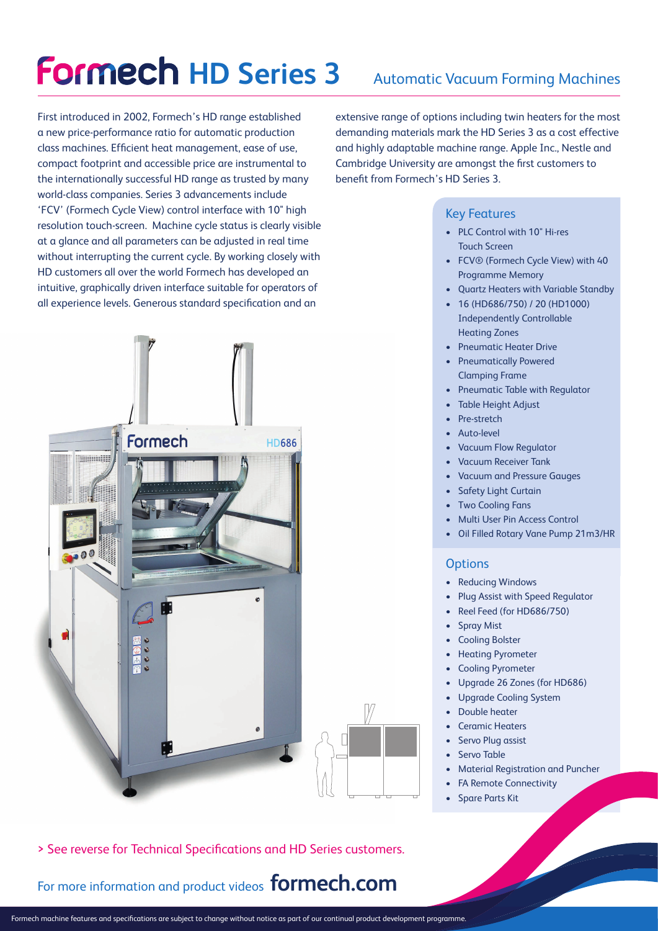# **Formech HD Series 3**

### Automatic Vacuum Forming Machines

First introduced in 2002, Formech's HD range established a new price-performance ratio for automatic production class machines. Efficient heat management, ease of use, compact footprint and accessible price are instrumental to the internationally successful HD range as trusted by many world-class companies. Series 3 advancements include 'FCV' (Formech Cycle View) control interface with 10" high resolution touch-screen. Machine cycle status is clearly visible at a glance and all parameters can be adjusted in real time without interrupting the current cycle. By working closely with HD customers all over the world Formech has developed an intuitive, graphically driven interface suitable for operators of all experience levels. Generous standard specification and an



extensive range of options including twin heaters for the most demanding materials mark the HD Series 3 as a cost effective and highly adaptable machine range. Apple Inc., Nestle and Cambridge University are amongst the first customers to benefit from Formech's HD Series 3.

#### Key Features

- PLC Control with 10" Hi-res Touch Screen
- FCV® (Formech Cycle View) with 40 Programme Memory
- Quartz Heaters with Variable Standby
- 16 (HD686/750) / 20 (HD1000) Independently Controllable Heating Zones
- Pneumatic Heater Drive
- Pneumatically Powered Clamping Frame
- Pneumatic Table with Regulator
- Table Height Adjust
- Pre-stretch
- Auto-level
- Vacuum Flow Regulator
- Vacuum Receiver Tank
- Vacuum and Pressure Gauges
- Safety Light Curtain
- Two Cooling Fans
- Multi User Pin Access Control
- Oil Filled Rotary Vane Pump 21m3/HR

#### **Options**

- **Reducing Windows**
- Plug Assist with Speed Regulator
- Reel Feed (for HD686/750)
- **Spray Mist**
- Cooling Bolster
- Heating Pyrometer
- Cooling Pyrometer
- Upgrade 26 Zones (for HD686)
- Upgrade Cooling System
- Double heater
- Ceramic Heaters
- Servo Plug assist
- Servo Table
- Material Registration and Puncher
- **FA Remote Connectivity**
- Spare Parts Kit

> See reverse for Technical Specifications and HD Series customers.

For more information and product videos **formech.com**